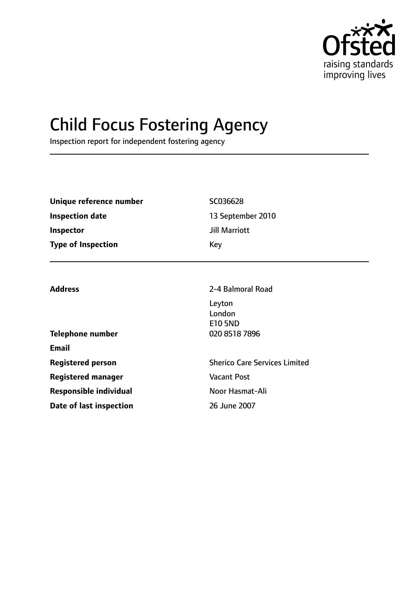

# Child Focus Fostering Agency

Inspection report for independent fostering agency

| Unique reference number<br><b>Inspection date</b><br><b>Inspector</b><br><b>Type of Inspection</b> | SC036628<br>13 September 2010<br><b>Jill Marriott</b><br>Key             |  |
|----------------------------------------------------------------------------------------------------|--------------------------------------------------------------------------|--|
| <b>Address</b><br><b>Telephone number</b>                                                          | 2-4 Balmoral Road<br>Leyton<br>London<br><b>E10 5ND</b><br>020 8518 7896 |  |
| <b>Email</b>                                                                                       |                                                                          |  |
| <b>Registered person</b>                                                                           | <b>Sherico Care Services Limited</b>                                     |  |
| <b>Registered manager</b>                                                                          | <b>Vacant Post</b>                                                       |  |
| <b>Responsible individual</b>                                                                      | Noor Hasmat-Ali                                                          |  |
| Date of last inspection                                                                            | 26 June 2007                                                             |  |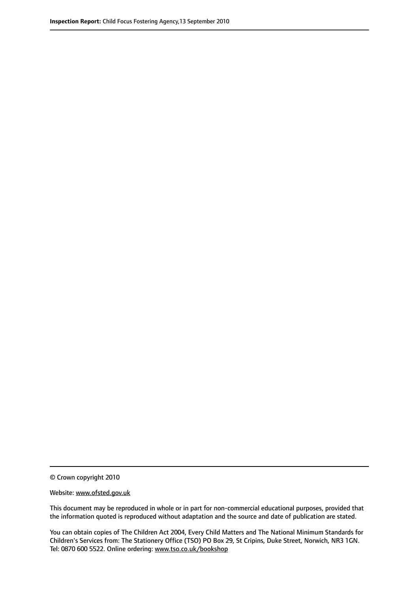© Crown copyright 2010

Website: www.ofsted.gov.uk

This document may be reproduced in whole or in part for non-commercial educational purposes, provided that the information quoted is reproduced without adaptation and the source and date of publication are stated.

You can obtain copies of The Children Act 2004, Every Child Matters and The National Minimum Standards for Children's Services from: The Stationery Office (TSO) PO Box 29, St Cripins, Duke Street, Norwich, NR3 1GN. Tel: 0870 600 5522. Online ordering: www.tso.co.uk/bookshop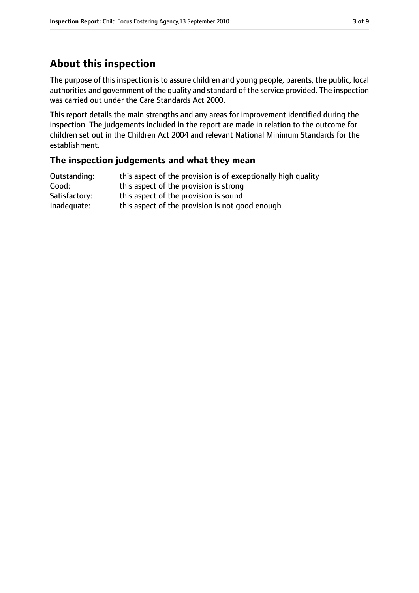# **About this inspection**

The purpose of this inspection is to assure children and young people, parents, the public, local authorities and government of the quality and standard of the service provided. The inspection was carried out under the Care Standards Act 2000.

This report details the main strengths and any areas for improvement identified during the inspection. The judgements included in the report are made in relation to the outcome for children set out in the Children Act 2004 and relevant National Minimum Standards for the establishment.

#### **The inspection judgements and what they mean**

| Outstanding:  | this aspect of the provision is of exceptionally high quality |
|---------------|---------------------------------------------------------------|
| Good:         | this aspect of the provision is strong                        |
| Satisfactory: | this aspect of the provision is sound                         |
| Inadequate:   | this aspect of the provision is not good enough               |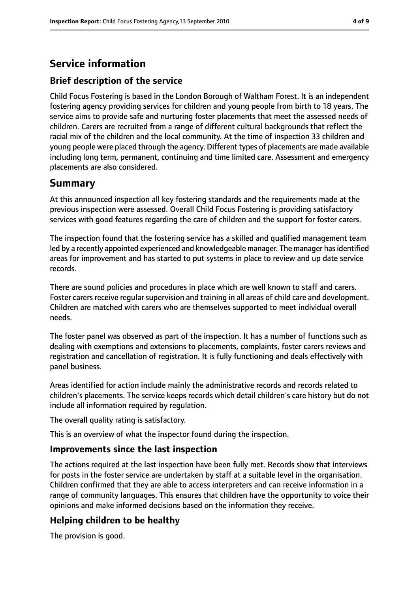# **Service information**

### **Brief description of the service**

Child Focus Fostering is based in the London Borough of Waltham Forest. It is an independent fostering agency providing services for children and young people from birth to 18 years. The service aims to provide safe and nurturing foster placements that meet the assessed needs of children. Carers are recruited from a range of different cultural backgrounds that reflect the racial mix of the children and the local community. At the time of inspection 33 children and young people were placed through the agency. Different types of placements are made available including long term, permanent, continuing and time limited care. Assessment and emergency placements are also considered.

## **Summary**

At this announced inspection all key fostering standards and the requirements made at the previous inspection were assessed. Overall Child Focus Fostering is providing satisfactory services with good features regarding the care of children and the support for foster carers.

The inspection found that the fostering service has a skilled and qualified management team led by a recently appointed experienced and knowledgeable manager. The manager has identified areas for improvement and has started to put systems in place to review and up date service records.

There are sound policies and procedures in place which are well known to staff and carers. Foster carers receive regular supervision and training in all areas of child care and development. Children are matched with carers who are themselves supported to meet individual overall needs.

The foster panel was observed as part of the inspection. It has a number of functions such as dealing with exemptions and extensions to placements, complaints, foster carers reviews and registration and cancellation of registration. It is fully functioning and deals effectively with panel business.

Areas identified for action include mainly the administrative records and records related to children's placements. The service keeps records which detail children's care history but do not include all information required by regulation.

The overall quality rating is satisfactory.

This is an overview of what the inspector found during the inspection.

#### **Improvements since the last inspection**

The actions required at the last inspection have been fully met. Records show that interviews for posts in the foster service are undertaken by staff at a suitable level in the organisation. Children confirmed that they are able to access interpreters and can receive information in a range of community languages. This ensures that children have the opportunity to voice their opinions and make informed decisions based on the information they receive.

## **Helping children to be healthy**

The provision is good.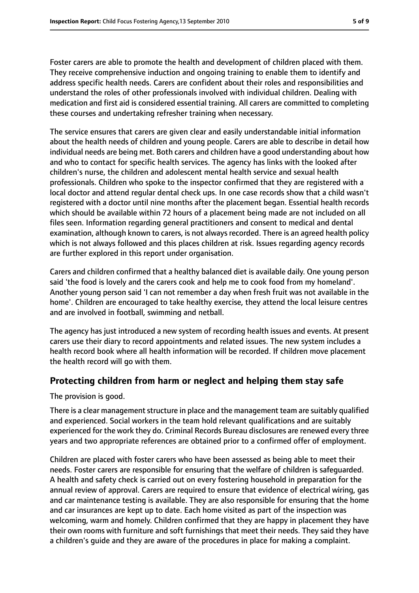Foster carers are able to promote the health and development of children placed with them. They receive comprehensive induction and ongoing training to enable them to identify and address specific health needs. Carers are confident about their roles and responsibilities and understand the roles of other professionals involved with individual children. Dealing with medication and first aid is considered essential training. All carers are committed to completing these courses and undertaking refresher training when necessary.

The service ensures that carers are given clear and easily understandable initial information about the health needs of children and young people. Carers are able to describe in detail how individual needs are being met. Both carers and children have a good understanding about how and who to contact for specific health services. The agency has links with the looked after children's nurse, the children and adolescent mental health service and sexual health professionals. Children who spoke to the inspector confirmed that they are registered with a local doctor and attend regular dental check ups. In one case records show that a child wasn't registered with a doctor until nine months after the placement began. Essential health records which should be available within 72 hours of a placement being made are not included on all files seen. Information regarding general practitioners and consent to medical and dental examination, although known to carers, is not always recorded. There is an agreed health policy which is not always followed and this places children at risk. Issues regarding agency records are further explored in this report under organisation.

Carers and children confirmed that a healthy balanced diet is available daily. One young person said 'the food is lovely and the carers cook and help me to cook food from my homeland'. Another young person said 'I can not remember a day when fresh fruit was not available in the home'. Children are encouraged to take healthy exercise, they attend the local leisure centres and are involved in football, swimming and netball.

The agency has just introduced a new system of recording health issues and events. At present carers use their diary to record appointments and related issues. The new system includes a health record book where all health information will be recorded. If children move placement the health record will go with them.

#### **Protecting children from harm or neglect and helping them stay safe**

The provision is good.

There is a clear management structure in place and the management team are suitably qualified and experienced. Social workers in the team hold relevant qualifications and are suitably experienced for the work they do. Criminal Records Bureau disclosures are renewed every three years and two appropriate references are obtained prior to a confirmed offer of employment.

Children are placed with foster carers who have been assessed as being able to meet their needs. Foster carers are responsible for ensuring that the welfare of children is safeguarded. A health and safety check is carried out on every fostering household in preparation for the annual review of approval. Carers are required to ensure that evidence of electrical wiring, gas and car maintenance testing is available. They are also responsible for ensuring that the home and car insurances are kept up to date. Each home visited as part of the inspection was welcoming, warm and homely. Children confirmed that they are happy in placement they have their own rooms with furniture and soft furnishings that meet their needs. They said they have a children's guide and they are aware of the procedures in place for making a complaint.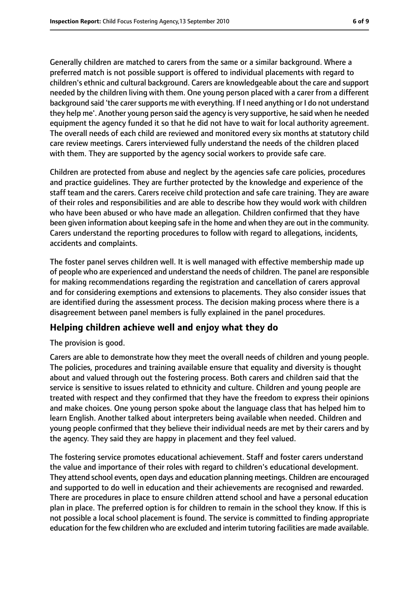Generally children are matched to carers from the same or a similar background. Where a preferred match is not possible support is offered to individual placements with regard to children's ethnic and cultural background. Carers are knowledgeable about the care and support needed by the children living with them. One young person placed with a carer from a different background said 'the carer supports me with everything. If I need anything or I do not understand they help me'. Another young person said the agency is very supportive, he said when he needed equipment the agency funded it so that he did not have to wait for local authority agreement. The overall needs of each child are reviewed and monitored every six months at statutory child care review meetings. Carers interviewed fully understand the needs of the children placed with them. They are supported by the agency social workers to provide safe care.

Children are protected from abuse and neglect by the agencies safe care policies, procedures and practice guidelines. They are further protected by the knowledge and experience of the staff team and the carers. Carers receive child protection and safe care training. They are aware of their roles and responsibilities and are able to describe how they would work with children who have been abused or who have made an allegation. Children confirmed that they have been given information about keeping safe in the home and when they are out in the community. Carers understand the reporting procedures to follow with regard to allegations, incidents, accidents and complaints.

The foster panel serves children well. It is well managed with effective membership made up of people who are experienced and understand the needs of children. The panel are responsible for making recommendations regarding the registration and cancellation of carers approval and for considering exemptions and extensions to placements. They also consider issues that are identified during the assessment process. The decision making process where there is a disagreement between panel members is fully explained in the panel procedures.

#### **Helping children achieve well and enjoy what they do**

The provision is good.

Carers are able to demonstrate how they meet the overall needs of children and young people. The policies, procedures and training available ensure that equality and diversity is thought about and valued through out the fostering process. Both carers and children said that the service is sensitive to issues related to ethnicity and culture. Children and young people are treated with respect and they confirmed that they have the freedom to express their opinions and make choices. One young person spoke about the language class that has helped him to learn English. Another talked about interpreters being available when needed. Children and young people confirmed that they believe their individual needs are met by their carers and by the agency. They said they are happy in placement and they feel valued.

The fostering service promotes educational achievement. Staff and foster carers understand the value and importance of their roles with regard to children's educational development. They attend school events, open days and education planning meetings. Children are encouraged and supported to do well in education and their achievements are recognised and rewarded. There are procedures in place to ensure children attend school and have a personal education plan in place. The preferred option is for children to remain in the school they know. If this is not possible a local school placement is found. The service is committed to finding appropriate education for the few children who are excluded and interim tutoring facilities are made available.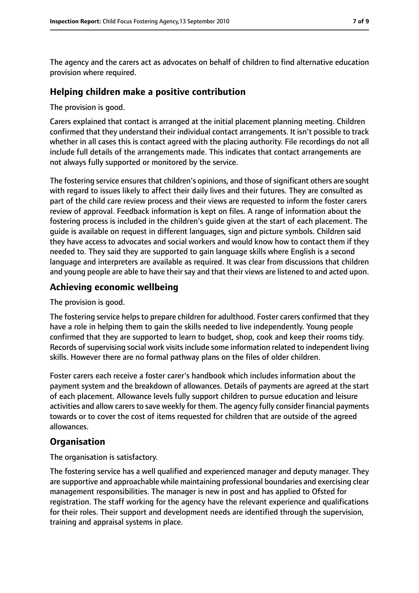The agency and the carers act as advocates on behalf of children to find alternative education provision where required.

#### **Helping children make a positive contribution**

The provision is good.

Carers explained that contact is arranged at the initial placement planning meeting. Children confirmed that they understand their individual contact arrangements. It isn't possible to track whether in all cases this is contact agreed with the placing authority. File recordings do not all include full details of the arrangements made. This indicates that contact arrangements are not always fully supported or monitored by the service.

The fostering service ensures that children's opinions, and those of significant others are sought with regard to issues likely to affect their daily lives and their futures. They are consulted as part of the child care review process and their views are requested to inform the foster carers review of approval. Feedback information is kept on files. A range of information about the fostering process is included in the children's guide given at the start of each placement. The guide is available on request in different languages, sign and picture symbols. Children said they have access to advocates and social workers and would know how to contact them if they needed to. They said they are supported to gain language skills where English is a second language and interpreters are available as required. It was clear from discussions that children and young people are able to have their say and that their views are listened to and acted upon.

#### **Achieving economic wellbeing**

The provision is good.

The fostering service helps to prepare children for adulthood. Foster carers confirmed that they have a role in helping them to gain the skills needed to live independently. Young people confirmed that they are supported to learn to budget, shop, cook and keep their rooms tidy. Records of supervising social work visits include some information related to independent living skills. However there are no formal pathway plans on the files of older children.

Foster carers each receive a foster carer's handbook which includes information about the payment system and the breakdown of allowances. Details of payments are agreed at the start of each placement. Allowance levels fully support children to pursue education and leisure activities and allow carers to save weekly for them. The agency fully consider financial payments towards or to cover the cost of items requested for children that are outside of the agreed allowances.

#### **Organisation**

The organisation is satisfactory.

The fostering service has a well qualified and experienced manager and deputy manager. They are supportive and approachable while maintaining professional boundaries and exercising clear management responsibilities. The manager is new in post and has applied to Ofsted for registration. The staff working for the agency have the relevant experience and qualifications for their roles. Their support and development needs are identified through the supervision, training and appraisal systems in place.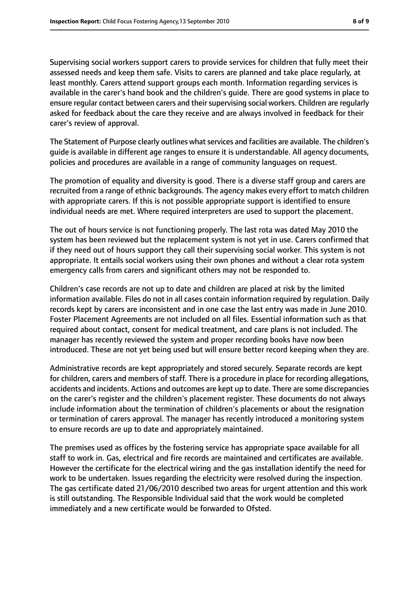Supervising social workers support carers to provide services for children that fully meet their assessed needs and keep them safe. Visits to carers are planned and take place regularly, at least monthly. Carers attend support groups each month. Information regarding services is available in the carer's hand book and the children's guide. There are good systems in place to ensure regular contact between carers and their supervising social workers. Children are regularly asked for feedback about the care they receive and are always involved in feedback for their carer's review of approval.

The Statement of Purpose clearly outlines what services and facilities are available. The children's guide is available in different age ranges to ensure it is understandable. All agency documents, policies and procedures are available in a range of community languages on request.

The promotion of equality and diversity is good. There is a diverse staff group and carers are recruited from a range of ethnic backgrounds. The agency makes every effort to match children with appropriate carers. If this is not possible appropriate support is identified to ensure individual needs are met. Where required interpreters are used to support the placement.

The out of hours service is not functioning properly. The last rota was dated May 2010 the system has been reviewed but the replacement system is not yet in use. Carers confirmed that if they need out of hours support they call their supervising social worker. This system is not appropriate. It entails social workers using their own phones and without a clear rota system emergency calls from carers and significant others may not be responded to.

Children's case records are not up to date and children are placed at risk by the limited information available. Files do not in all cases contain information required by regulation. Daily records kept by carers are inconsistent and in one case the last entry was made in June 2010. Foster Placement Agreements are not included on all files. Essential information such as that required about contact, consent for medical treatment, and care plans is not included. The manager has recently reviewed the system and proper recording books have now been introduced. These are not yet being used but will ensure better record keeping when they are.

Administrative records are kept appropriately and stored securely. Separate records are kept for children, carers and members of staff. There is a procedure in place for recording allegations, accidents and incidents. Actions and outcomes are kept up to date. There are some discrepancies on the carer's register and the children's placement register. These documents do not always include information about the termination of children's placements or about the resignation or termination of carers approval. The manager has recently introduced a monitoring system to ensure records are up to date and appropriately maintained.

The premises used as offices by the fostering service has appropriate space available for all staff to work in. Gas, electrical and fire records are maintained and certificates are available. However the certificate for the electrical wiring and the gas installation identify the need for work to be undertaken. Issues regarding the electricity were resolved during the inspection. The gas certificate dated 21/06/2010 described two areas for urgent attention and this work is still outstanding. The Responsible Individual said that the work would be completed immediately and a new certificate would be forwarded to Ofsted.